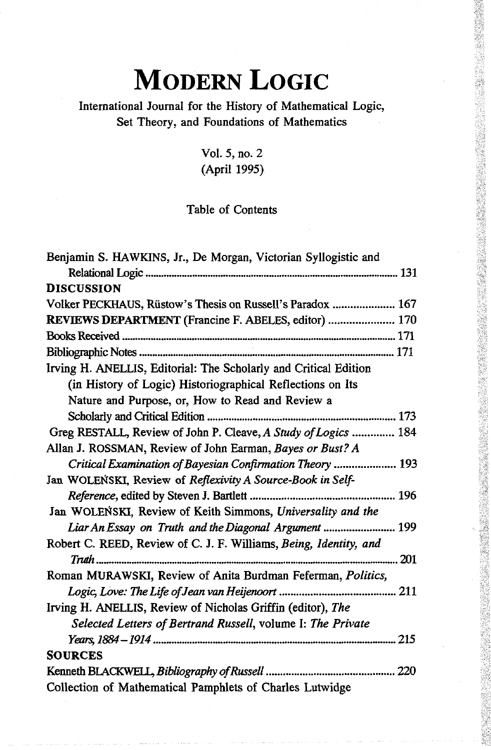## **MODERN LOGIC**

## International Journal for the History of Mathematical Logic, Set Theory, and Foundations of Mathematics

## Vol. 5, no. 2 (April 1995)

## Table of Contents

| Benjamin S. HAWKINS, Jr., De Morgan, Victorian Syllogistic and    |
|-------------------------------------------------------------------|
|                                                                   |
| <b>DISCUSSION</b>                                                 |
| Volker PECKHAUS, Rüstow's Thesis on Russell's Paradox  167        |
| REVIEWS DEPARTMENT (Francine F. ABELES, editor)  170              |
|                                                                   |
|                                                                   |
| Irving H. ANELLIS, Editorial: The Scholarly and Critical Edition  |
| (in History of Logic) Historiographical Reflections on Its        |
| Nature and Purpose, or, How to Read and Review a                  |
|                                                                   |
| Greg RESTALL, Review of John P. Cleave, A Study of Logics  184    |
| Allan J. ROSSMAN, Review of John Earman, Bayes or Bust? A         |
| Critical Examination of Bayesian Confirmation Theory  193         |
| Jan WOLEŃSKI, Review of Reflexivity A Source-Book in Self-        |
|                                                                   |
| Jan WOLEŃSKI, Review of Keith Simmons, Universality and the       |
| Liar An Essay on Truth and the Diagonal Argument  199             |
| Robert C. REED, Review of C. J. F. Williams, Being, Identity, and |
|                                                                   |
| Roman MURAWSKI, Review of Anita Burdman Feferman, Politics,       |
|                                                                   |
| Irving H. ANELLIS, Review of Nicholas Griffin (editor), The       |
| Selected Letters of Bertrand Russell, volume I: The Private       |
|                                                                   |
| <b>SOURCES</b>                                                    |
|                                                                   |
| Collection of Mathematical Pamphlets of Charles Lutwidge          |